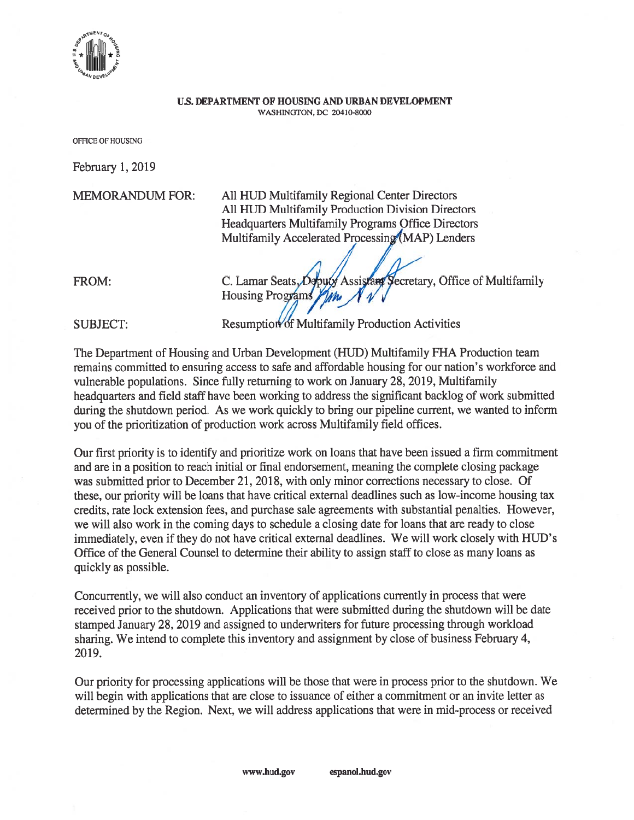

## US. DEPARTMENT OF HOUSING AND URBAN DEVELOPMENT WASHINGTON, DC 20410-8000

OFFICE Of HOUSING

February 1, 2019

MEMORANDUM FOR: All HUB Multifamily Regional Center Directors All HUD Multifamily Production Division Directors Headquarters Multifamily Programs Office Directors Multifamily Accelerated Processing (MAP) Lenders

FROM: C. Lamar Seats, Opputy Assistant Secretary, Office of Multifamily<br>Housing Programs  $\frac{\gamma_{\ell}}{\gamma_{\ell}}$ 

SUBJECT: Resumption of Multifamily Production Activities

The Department of Housing and Urban Development (HUD) Multifamily FHA Production team remains committed to ensuring access to safe and affordable housing for our nation's workforce and vulnerable populations. Since fully returning to work on January 28, 2019, Multifamily headquarters and field staff have been working to address the significant backlog of work submitted during the shutdown period. As we work quickly to bring our pipeline current, we wanted to inform you of the prioritization of production work across Multifamily field offices.

Our first priority is to identify and prioritize work on loans that have been issued <sup>a</sup> firm commitment and are in <sup>a</sup> position to reach initial or final endorsement, meaning the complete closing package was submitted prior to December 21, 2018, with only minor corrections necessary to close. Of these, our priority will be loans that have critical external deadlines such as low-income housing tax credits, rate lock extension fees, and purchase sale agreements with substantial penalties. However, we will also work in the coming days to schedule <sup>a</sup> closing date for loans that are ready to close immediately, even if they do not have critical external deadlines. We will work closely with HUD's Office of the General Counsel to determine their ability to assign staff to close as many loans as quickly as possible.

Concurrently, we will also conduct an inventory of applications currently in process that were received prior to the shutdown. Applications that were submitted during the shutdown will be date stamped January 28, 2019 and assigned to underwriters for future processing through workload sharing. We intend to complete this inventory and assignment by close of business February 4, 2019.

Our priority for processing applications will be those that were in process prior to the shutdown. We will begin with applications that are close to issuance of either <sup>a</sup> commitment or an invite letter as determined by the Region. Next, we will address applications that were in mid-process or received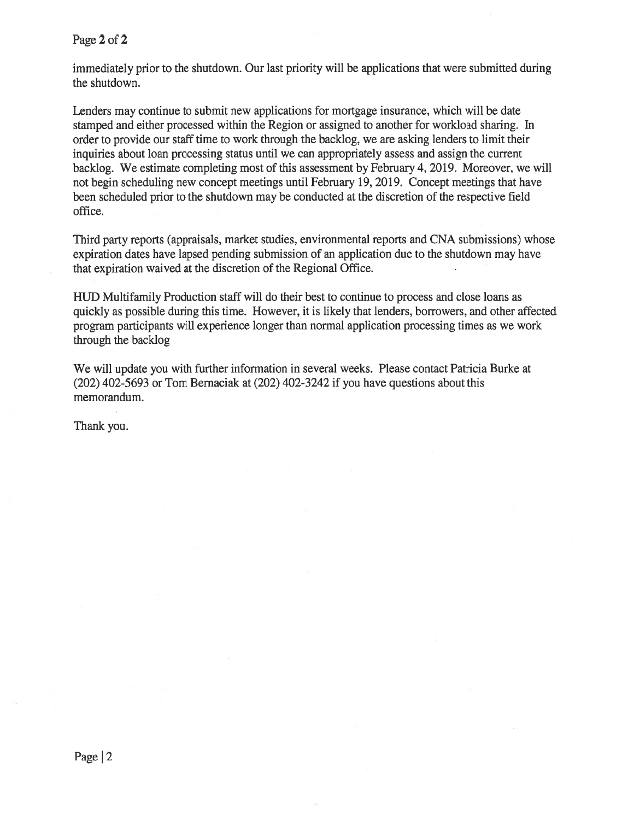Page 2 of 2

immediately prior to the shutdown. Our last priority will be applications that were submitted during the shutdown.

Lenders may continue to submit new applications for mortgage insurance, which will be date stamped and either processed within the Region or assigned to another for workload sharing. In order to provide our staff time to work through the backlog, we are asking lenders to limit their inquiries about loan processing status until we can appropriately assess and assign the current backlog. We estimate completing most of this assessment by February 4, 2019. Moreover, we will not begin scheduling new concep<sup>t</sup> meetings until February 19, 2019. Concept meetings that have been scheduled prior to the shutdown may be conducted at the discretion of the respective field office.

Third party reports (appraisals, market studies, environmental reports and CNA submissions) whose expiration dates have lapsed pending submission of an application due to the shutdown may have that expiration waived at the discretion of the Regional Office.

HUD Multifamily Production staff will do their best to continue to process and close loans as quickly as possible during this time. However, it is likely that lenders, borrowers, and other affected program participants will experience longer than normal application processing times as we work through the backlog

We will update you with further information in several weeks. Please contact Patricia Burke at (202) 402-5693 or Tom Bemaciak at (202) 402-3242 if you have questions about this memorandum.

Thank you.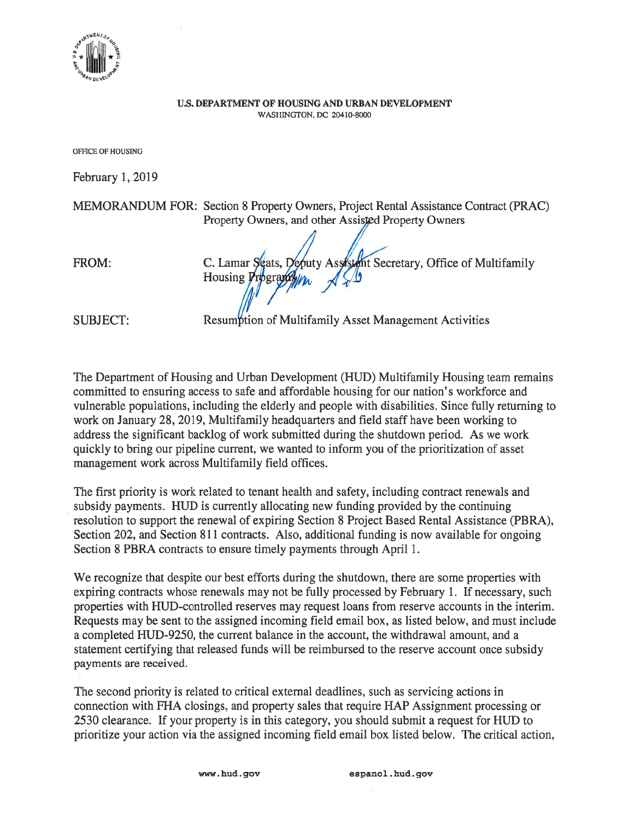rim \*+ WILIN + i III III  $^{\circ}$ . IIIIII . $^{\circ}$ oLq'

## U.S. DEPARTMENT OF HOUSING AND URBAN DEVELOPMENT WASHINGTON, DC 20410-8000

OFFICE OF HOUSING

February 1, 2019

MEMORANDUM FOR: Section 8 Property Owners, Project Rental Assistance Contract (PRAC) Property Owners, and other Assisted Property Owners FROM: C. Lamar Seats, Deputy Assistent Secretary, Office of Multifamily Housing  $\overline{F}$ 

SUBJECT: Resumption of Multifamily Asset Management Activities

The Department of Housing and Urban Development (HUD) Multifamily Housing team remains committed to ensuring access to safe and affordable housing for our nation's workforce and vulnerable populations, including the elderly and people with disabilities. Since fully returning to work on January 28, 2019, Multifamily headquarters and field staff have been working to address the significant backlog of work submitted during the shutdown period. As we work quickly to bring our pipeline current, we wanted to inform you of the prioritization of asset managemen<sup>t</sup> work across Multifamily field offices.

The first priority is work related to tenant health and safety, including contract renewals and subsidy payments. HUD is currently allocating new funding provided by the continuing resolution to suppor<sup>t</sup> the renewal of expiring Section 8 Project Based Rental Assistance (PBRA), Section 202, and Section 811 contracts. Also, additional funding is now available for ongoing Section 8 PBRA contracts to ensure timely payments through April 1.

We recognize that despite our best efforts during the shutdown, there are some properties with expiring contracts whose renewals may not be fully processed by February 1. If necessary, such properties with HUD-controlled reserves may reques<sup>t</sup> loans from reserve accounts in the interim. Requests may be sent to the assigned incoming field email box, as listed below, and must include <sup>a</sup> completed HUD-9250, the current balance in the account, the withdrawal amount, and <sup>a</sup> statement certifying that released funds will be reimbursed to the reserve account once subsidy payments are received.

The second priority is related to critical external deadlines, such as servicing actions in connection with FHA closings, and property sales that require HAP Assignment processing or 2530 clearance. If your property is in this category, you should submit <sup>a</sup> reques<sup>t</sup> for HUD to prioritize your action via the assigned incoming field email box listed below. The critical action,